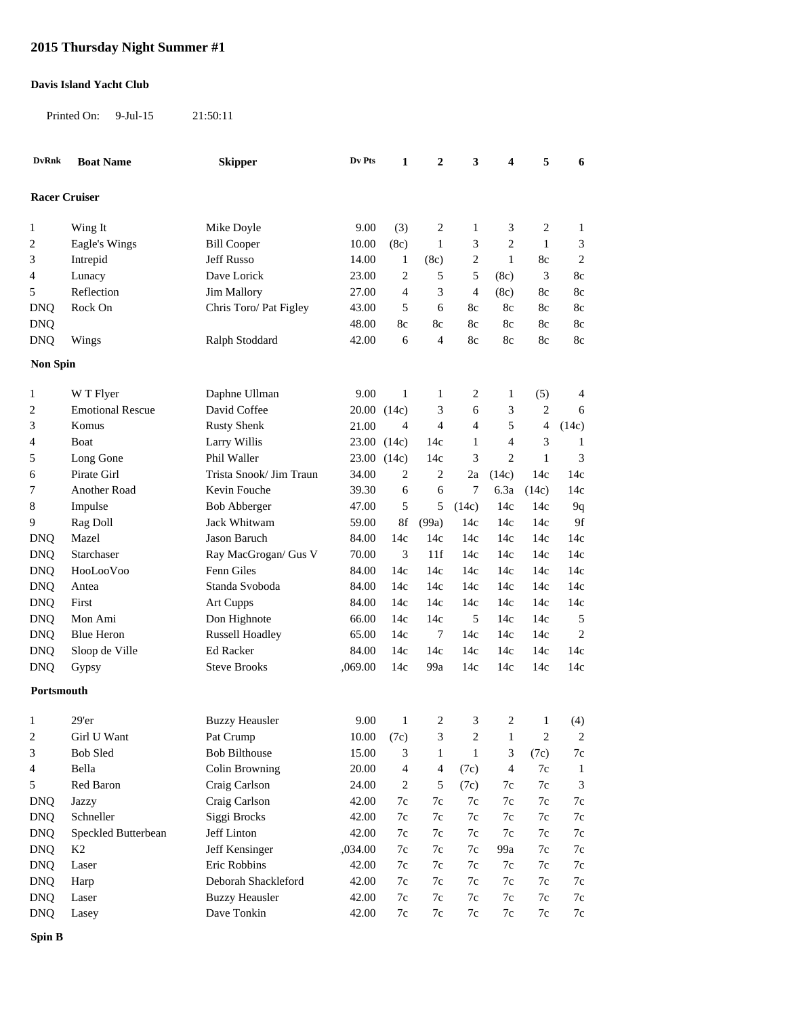## **2015 Thursday Night Summer #1**

## **Davis Island Yacht Club**

Printed On: 9-Jul-15 21:50:11

| <b>DvRnk</b>         | <b>Boat Name</b>        | <b>Skipper</b>          | Dv Pts  | 1              | 2            | 3                       | 4                           | 5              | 6              |
|----------------------|-------------------------|-------------------------|---------|----------------|--------------|-------------------------|-----------------------------|----------------|----------------|
| <b>Racer Cruiser</b> |                         |                         |         |                |              |                         |                             |                |                |
| 1                    | Wing It                 | Mike Doyle              | 9.00    | (3)            | 2            | 1                       | 3                           | $\sqrt{2}$     | $\mathbf{1}$   |
| $\overline{c}$       | Eagle's Wings           | <b>Bill Cooper</b>      | 10.00   | (8c)           | $\mathbf{1}$ | 3                       | $\sqrt{2}$                  | $1\,$          | 3              |
| 3                    | Intrepid                | Jeff Russo              | 14.00   | 1              | (8c)         | $\overline{\mathbf{c}}$ | $\mathbf{1}$                | 8c             | $\overline{2}$ |
| 4                    | Lunacy                  | Dave Lorick             | 23.00   | 2              | 5            | 5                       | (8c)                        | 3              | 8c             |
| 5                    | Reflection              | <b>Jim Mallory</b>      | 27.00   | 4              | 3            | 4                       | (8c)                        | 8c             | 8c             |
| <b>DNQ</b>           | Rock On                 | Chris Toro/ Pat Figley  | 43.00   | 5              | 6            | 8c                      | 8c                          | 8c             | 8c             |
| <b>DNQ</b>           |                         |                         | 48.00   | 8c             | 8c           | 8c                      | 8c                          | 8c             | 8c             |
| <b>DNQ</b>           | Wings                   | Ralph Stoddard          | 42.00   | 6              | 4            | 8c                      | 8c                          | 8c             | 8c             |
| <b>Non Spin</b>      |                         |                         |         |                |              |                         |                             |                |                |
| 1                    | W T Flyer               | Daphne Ullman           | 9.00    | $\mathbf{1}$   | $\mathbf{1}$ | 2                       | 1                           | (5)            | 4              |
| $\overline{c}$       | <b>Emotional Rescue</b> | David Coffee            | 20.00   | (14c)          | 3            | 6                       | 3                           | $\overline{2}$ | 6              |
| 3                    | Komus                   | <b>Rusty Shenk</b>      | 21.00   | 4              | 4            | 4                       | 5                           | 4              | (14c)          |
| 4                    | Boat                    | Larry Willis            | 23.00   | (14c)          | 14c          | 1                       | 4                           | 3              | $\mathbf{1}$   |
| 5                    | Long Gone               | Phil Waller             | 23.00   | (14c)          | 14c          | 3                       | $\overline{2}$              | $\mathbf{1}$   | 3              |
| 6                    | Pirate Girl             | Trista Snook/ Jim Traun | 34.00   | 2              | 2            | 2a                      | (14c)                       | 14c            | 14c            |
| 7                    | Another Road            | Kevin Fouche            | 39.30   | 6              | 6            | 7                       | 6.3a                        | (14c)          | 14c            |
| $\,8\,$              | Impulse                 | <b>Bob Abberger</b>     | 47.00   | 5              | 5            | (14c)                   | 14c                         | 14c            | 9q             |
| 9                    | Rag Doll                | Jack Whitwam            | 59.00   | 8f             | (99a)        | 14c                     | 14c                         | 14c            | 9f             |
| <b>DNQ</b>           | Mazel                   | Jason Baruch            | 84.00   | 14c            | 14c          | 14c                     | 14c                         | 14c            | 14c            |
| <b>DNQ</b>           | Starchaser              | Ray MacGrogan/ Gus V    | 70.00   | 3              | 11f          | 14c                     | 14c                         | 14c            | 14c            |
| <b>DNQ</b>           | HooLooVoo               | Fenn Giles              | 84.00   | 14c            | 14c          | 14c                     | 14c                         | 14c            | 14c            |
| <b>DNQ</b>           | Antea                   | Standa Svoboda          | 84.00   | 14c            | 14c          | 14c                     | 14c                         | 14c            | 14c            |
| <b>DNQ</b>           | First                   | Art Cupps               | 84.00   | 14c            | 14c          | 14c                     | 14c                         | 14c            | 14c            |
| <b>DNQ</b>           | Mon Ami                 | Don Highnote            | 66.00   | 14c            | 14c          | 5                       | 14c                         | 14c            | 5              |
| <b>DNQ</b>           | <b>Blue Heron</b>       | <b>Russell Hoadley</b>  | 65.00   | 14c            | 7            | 14c                     | 14c                         | 14c            | $\overline{2}$ |
| <b>DNQ</b>           | Sloop de Ville          | Ed Racker               | 84.00   | 14c            | 14c          | 14c                     | 14c                         | 14c            | 14c            |
| <b>DNQ</b>           | Gypsy                   | <b>Steve Brooks</b>     | ,069.00 | 14c            | 99a          | 14c                     | 14c                         | 14c            | 14c            |
| Portsmouth           |                         |                         |         |                |              |                         |                             |                |                |
| 1                    | 29'er                   | <b>Buzzy Heausler</b>   | 9.00    | $\mathbf{1}$   | 2            | 3                       | 2                           | $\mathbf{1}$   | (4)            |
| $\boldsymbol{2}$     | Girl U Want             | Pat Crump               | 10.00   | (7c)           | 3            | $\boldsymbol{2}$        | $\mathbf{1}$                | $\sqrt{2}$     | $\overline{c}$ |
| 3                    | <b>Bob Sled</b>         | <b>Bob Bilthouse</b>    | 15.00   | 3              | 1            | $\mathbf{1}$            | $\ensuremath{\mathfrak{Z}}$ | (7c)           | $7\mathrm{c}$  |
| 4                    | Bella                   | Colin Browning          | 20.00   | 4              | 4            | (7c)                    | $\overline{4}$              | 7c             | $\mathbf{1}$   |
| 5                    | Red Baron               | Craig Carlson           | 24.00   | $\overline{c}$ | 5            | (7c)                    | 7c                          | $7\mathrm{c}$  | $\mathfrak{Z}$ |
| <b>DNQ</b>           | <b>Jazzy</b>            | Craig Carlson           | 42.00   | 7c             | 7c           | 7c                      | 7c                          | 7c             | $7\mathrm{c}$  |
| <b>DNQ</b>           | Schneller               | Siggi Brocks            | 42.00   | 7c             | 7c           | $7\mathrm{c}$           | $7\mathrm{c}$               | 7c             | $7\mathrm{c}$  |
| <b>DNQ</b>           | Speckled Butterbean     | Jeff Linton             | 42.00   | 7c             | 7c           | 7c                      | 7c                          | 7c             | $7\mathrm{c}$  |
| <b>DNQ</b>           | K <sub>2</sub>          | Jeff Kensinger          | ,034.00 | 7c             | 7c           | 7c                      | 99a                         | 7c             | $7\mathrm{c}$  |
| <b>DNQ</b>           | Laser                   | Eric Robbins            | 42.00   | 7c             | 7c           | 7c                      | 7c                          | 7c             | $7\mathrm{c}$  |
| <b>DNQ</b>           | Harp                    | Deborah Shackleford     | 42.00   | 7c             | 7c           | 7c                      | 7c                          | 7c             | $7\mathrm{c}$  |
| <b>DNQ</b>           | Laser                   | <b>Buzzy Heausler</b>   | 42.00   | 7c             | 7c           | 7c                      | 7c                          | 7c             | 7c             |
| <b>DNQ</b>           | Lasey                   | Dave Tonkin             | 42.00   | 7c             | 7c           | 7c                      | 7c                          | 7c             | $7\mathrm{c}$  |

**Spin B**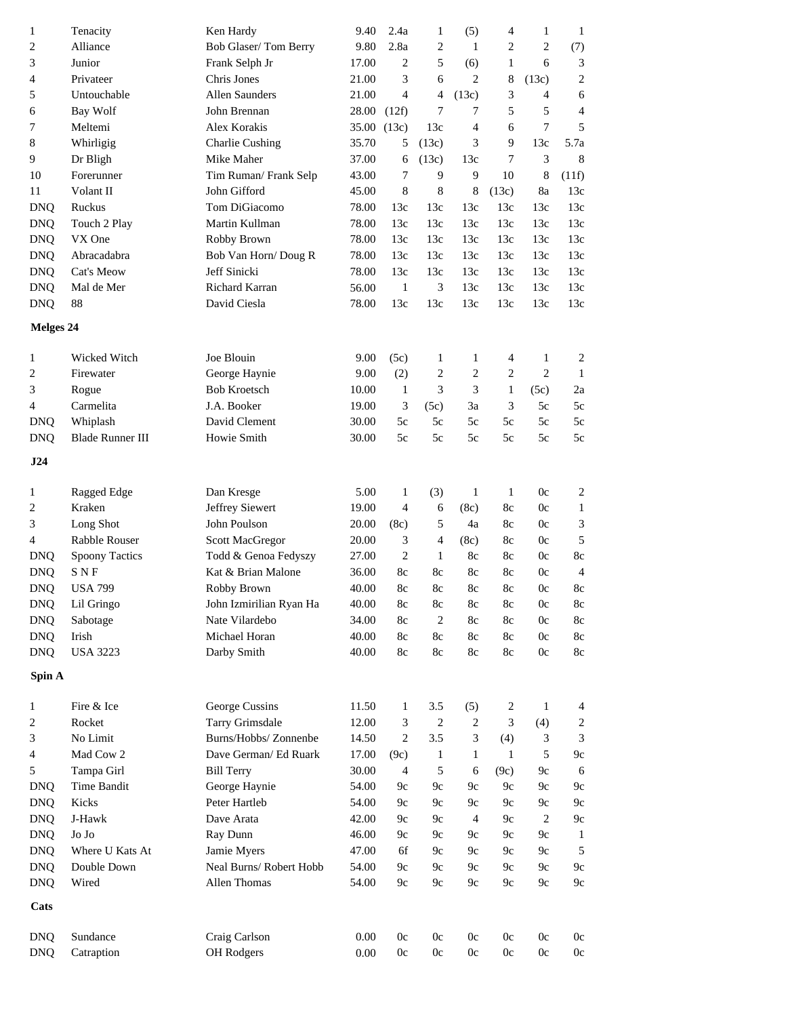| $\mathbf{1}$ | Tenacity              | Ken Hardy               | 9.40        | 2.4a           | 1                        | (5)              | 4                | $\mathbf{1}$     | $\mathbf{1}$            |
|--------------|-----------------------|-------------------------|-------------|----------------|--------------------------|------------------|------------------|------------------|-------------------------|
| 2            | Alliance              | Bob Glaser/Tom Berry    | 9.80        | 2.8a           | 2                        | 1                | $\overline{c}$   | $\overline{2}$   | (7)                     |
| 3            | Junior                | Frank Selph Jr          | 17.00       | $\overline{c}$ | 5                        | (6)              | 1                | 6                | 3                       |
| 4            | Privateer             | Chris Jones             | 21.00       | 3              | 6                        | 2                | $\,8\,$          | (13c)            | $\overline{2}$          |
| 5            | Untouchable           | <b>Allen Saunders</b>   | 21.00       | 4              | 4                        | (13c)            | 3                | 4                | 6                       |
| 6            | Bay Wolf              | John Brennan            | 28.00       | (12f)          | 7                        | 7                | 5                | 5                | $\overline{4}$          |
| 7            | Meltemi               | Alex Korakis            | 35.00 (13c) |                | 13c                      | 4                | 6                | $\boldsymbol{7}$ | 5                       |
| 8            | Whirligig             | <b>Charlie Cushing</b>  | 35.70       | 5              | (13c)                    | 3                | 9                | 13c              | 5.7a                    |
| 9            | Dr Bligh              | Mike Maher              | 37.00       | 6              | (13c)                    | 13c              | 7                | 3                | 8                       |
| 10           | Forerunner            | Tim Ruman/Frank Selp    | 43.00       | $\overline{7}$ | 9                        | 9                | 10               | 8                | (11f)                   |
| 11           | Volant II             | John Gifford            | 45.00       | 8              | 8                        | $\,8\,$          | (13c)            | 8a               | 13c                     |
| <b>DNQ</b>   | Ruckus                | Tom DiGiacomo           | 78.00       | 13c            | 13c                      | 13c              | 13c              | 13c              | 13c                     |
| <b>DNQ</b>   | Touch 2 Play          | Martin Kullman          | 78.00       | 13c            | 13c                      | 13c              | 13c              | 13c              | 13c                     |
| <b>DNQ</b>   | VX One                | Robby Brown             | 78.00       | 13c            | 13c                      | 13c              | 13c              | 13c              | 13c                     |
| <b>DNQ</b>   | Abracadabra           | Bob Van Horn/Doug R     | 78.00       | 13c            | 13c                      | 13c              | 13c              | 13c              | 13c                     |
| <b>DNQ</b>   | Cat's Meow            | Jeff Sinicki            | 78.00       | 13c            | 13c                      | 13c              | 13c              | 13c              | 13c                     |
| <b>DNQ</b>   | Mal de Mer            | <b>Richard Karran</b>   | 56.00       | $\mathbf{1}$   | 3                        | 13c              | 13c              | 13c              | 13c                     |
|              |                       | David Ciesla            |             | 13c            |                          | 13c              | 13c              |                  |                         |
| <b>DNQ</b>   | 88                    |                         | 78.00       |                | 13c                      |                  |                  | 13c              | 13c                     |
| Melges 24    |                       |                         |             |                |                          |                  |                  |                  |                         |
| 1            | Wicked Witch          | Joe Blouin              | 9.00        | (5c)           | 1                        | $\mathbf{1}$     | 4                | $\mathbf{1}$     | $\overline{\mathbf{c}}$ |
| 2            | Firewater             | George Haynie           | 9.00        | (2)            | 2                        | $\overline{c}$   | $\overline{c}$   | $\overline{2}$   | $\mathbf{1}$            |
| 3            | Rogue                 | <b>Bob Kroetsch</b>     | 10.00       | $\mathbf{1}$   | 3                        | 3                | $\mathbf{1}$     | (5c)             | 2a                      |
| 4            | Carmelita             | J.A. Booker             | 19.00       | 3              | (5c)                     | 3a               | 3                | 5c               | 5c                      |
| <b>DNQ</b>   | Whiplash              | David Clement           | 30.00       | 5c             | 5c                       | 5c               | 5c               | 5c               | 5c                      |
| <b>DNQ</b>   | Blade Runner III      | Howie Smith             | 30.00       | 5c             | 5c                       | 5c               | 5c               | 5c               | 5c                      |
| J24          |                       |                         |             |                |                          |                  |                  |                  |                         |
|              |                       |                         |             |                |                          |                  |                  |                  |                         |
| 1            | Ragged Edge           | Dan Kresge              | 5.00        | $\mathbf{1}$   | (3)                      | $\mathbf{1}$     | $\mathbf{1}$     | 0c               | $\overline{c}$          |
| 2            | Kraken                | Jeffrey Siewert         | 19.00       | $\overline{4}$ | 6                        | (8c)             | 8c               | 0c               | $\mathbf{1}$            |
| 3            | Long Shot             | John Poulson            | 20.00       | (8c)           | 5                        | 4a               | 8c               | 0c               | 3                       |
| 4            | Rabble Rouser         | Scott MacGregor         | 20.00       | 3              | $\overline{\mathcal{A}}$ | (8c)             | 8c               | 0c               | $\mathfrak s$           |
| <b>DNQ</b>   | <b>Spoony Tactics</b> | Todd & Genoa Fedyszy    | 27.00       | $\overline{c}$ | $\mathbf{1}$             | 8c               | 8c               | 0c               | 8c                      |
| <b>DNQ</b>   | SNF                   | Kat & Brian Malone      | 36.00       | 8c             | 8c                       | 8c               | 8c               | 0c               | 4                       |
| <b>DNQ</b>   | <b>USA 799</b>        | Robby Brown             | 40.00       | 8c             | 8c                       | 8c               | 8c               | 0c               | 8c                      |
| <b>DNQ</b>   | Lil Gringo            | John Izmirilian Ryan Ha | 40.00       | $8\mathrm{c}$  | $8\mathrm{c}$            | $8\mathrm{c}$    | $8\mathrm{c}$    | 0c               | 8c                      |
| <b>DNQ</b>   | Sabotage              | Nate Vilardebo          | 34.00       | 8c             | $\overline{c}$           | 8c               | 8c               | 0c               | $8\mathrm{c}$           |
| <b>DNQ</b>   | Irish                 | Michael Horan           | 40.00       | 8c             | 8c                       | 8c               | 8c               | 0c               | 8c                      |
| <b>DNQ</b>   | <b>USA 3223</b>       | Darby Smith             | 40.00       | 8c             | 8c                       | 8c               | 8c               | 0c               | $8\mathrm{c}$           |
| Spin A       |                       |                         |             |                |                          |                  |                  |                  |                         |
| 1            | Fire & Ice            | George Cussins          | 11.50       | $\mathbf{1}$   | 3.5                      | (5)              | $\boldsymbol{2}$ | $\mathbf{1}$     | 4                       |
| 2            | Rocket                | Tarry Grimsdale         | 12.00       | 3              | $\overline{c}$           | $\boldsymbol{2}$ | 3                | (4)              | $\overline{c}$          |
| 3            | No Limit              | Burns/Hobbs/ Zonnenbe   | 14.50       | 2              | 3.5                      | 3                | (4)              | 3                | 3                       |
|              | Mad Cow 2             | Dave German/ Ed Ruark   |             |                |                          |                  | $\mathbf{1}$     |                  |                         |
| 4            |                       |                         | 17.00       | (9c)           | $\mathbf{1}$             | $\mathbf{1}$     |                  | 5                | 9c                      |
| 5            | Tampa Girl            | <b>Bill Terry</b>       | 30.00       | $\overline{4}$ | 5                        | 6                | (9c)             | 9c               | 6                       |
| <b>DNQ</b>   | Time Bandit           | George Haynie           | 54.00       | 9c             | 9c                       | 9c               | 9c               | 9c               | 9c                      |
| <b>DNQ</b>   | Kicks                 | Peter Hartleb           | 54.00       | 9c             | 9c                       | 9c               | 9c               | 9c               | 9c                      |
| <b>DNQ</b>   | J-Hawk                | Dave Arata              | 42.00       | 9c             | 9c                       | $\overline{4}$   | 9c               | $\overline{c}$   | 9c                      |
| <b>DNQ</b>   | Jo Jo                 | Ray Dunn                | 46.00       | 9c             | 9c                       | 9c               | 9c               | 9c               | $\mathbf{1}$            |
| <b>DNQ</b>   | Where U Kats At       | Jamie Myers             | 47.00       | 6f             | 9c                       | 9c               | 9c               | 9c               | 5                       |
| <b>DNQ</b>   | Double Down           | Neal Burns/Robert Hobb  | 54.00       | 9c             | 9c                       | 9c               | 9c               | 9c               | 9c                      |
| <b>DNQ</b>   | Wired                 | Allen Thomas            | 54.00       | 9c             | 9c                       | 9c               | 9c               | 9c               | 9c                      |
| Cats         |                       |                         |             |                |                          |                  |                  |                  |                         |
| <b>DNQ</b>   | Sundance              | Craig Carlson           | 0.00        | 0c             | 0c                       | 0c               | 0c               | 0c               | 0c                      |
| <b>DNQ</b>   | Catraption            | OH Rodgers              | $0.00\,$    | $0\mathrm{c}$  | 0c                       | 0c               | 0c               | 0c               | $0\mathrm{c}$           |